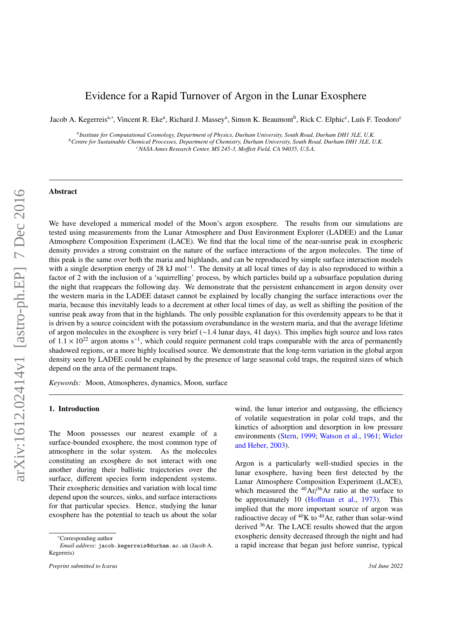# Evidence for a Rapid Turnover of Argon in the Lunar Exosphere

Jacob A. Kegerreis<sup>a,∗</sup>, Vincent R. Eke<sup>a</sup>, Richard J. Massey<sup>a</sup>, Simon K. Beaumont<sup>b</sup>, Rick C. Elphic<sup>c</sup>, Luís F. Teodoro<sup>c</sup>

*a Institute for Computational Cosmology, Department of Physics, Durham University, South Road, Durham DH1 3LE, U.K. <sup>b</sup>Centre for Sustainable Chemical Processes, Department of Chemistry, Durham University, South Road, Durham DH1 3LE, U.K. <sup>c</sup>NASA Ames Research Center, MS 245-3, Mo*ff*ett Field, CA 94035, U.S.A.*

#### Abstract

We have developed a numerical model of the Moon's argon exosphere. The results from our simulations are tested using measurements from the Lunar Atmosphere and Dust Environment Explorer (LADEE) and the Lunar Atmosphere Composition Experiment (LACE). We find that the local time of the near-sunrise peak in exospheric density provides a strong constraint on the nature of the surface interactions of the argon molecules. The time of this peak is the same over both the maria and highlands, and can be reproduced by simple surface interaction models with a single desorption energy of 28 kJ mol<sup>-1</sup>. The density at all local times of day is also reproduced to within a factor of 2 with the inclusion of a 'squirrelling' process, by which particles build up a subsurface population during the night that reappears the following day. We demonstrate that the persistent enhancement in argon density over the western maria in the LADEE dataset cannot be explained by locally changing the surface interactions over the maria, because this inevitably leads to a decrement at other local times of day, as well as shifting the position of the sunrise peak away from that in the highlands. The only possible explanation for this overdensity appears to be that it is driven by a source coincident with the potassium overabundance in the western maria, and that the average lifetime of argon molecules in the exosphere is very brief (∼1.4 lunar days, 41 days). This implies high source and loss rates of  $1.1 \times 10^{22}$  argon atoms s<sup>-1</sup>, which could require permanent cold traps comparable with the area of permanently shadowed regions, or a more highly localised source. We demonstrate that the long-term variation in the shadowed regions, or a more highly localised source. We demonstrate that the long-term variation in the global argon density seen by LADEE could be explained by the presence of large seasonal cold traps, the required sizes of which depend on the area of the permanent traps.

*Keywords:* Moon, Atmospheres, dynamics, Moon, surface

# 1. Introduction

The Moon possesses our nearest example of a surface-bounded exosphere, the most common type of atmosphere in the solar system. As the molecules constituting an exosphere do not interact with one another during their ballistic trajectories over the surface, different species form independent systems. Their exospheric densities and variation with local time depend upon the sources, sinks, and surface interactions for that particular species. Hence, studying the lunar exosphere has the potential to teach us about the solar

wind, the lunar interior and outgassing, the efficiency of volatile sequestration in polar cold traps, and the kinetics of adsorption and desorption in low pressure environments [\(Stern,](#page-16-0) [1999;](#page-16-0) [Watson et al.,](#page-16-1) [1961;](#page-16-1) [Wieler](#page-16-2) [and Heber,](#page-16-2) [2003\)](#page-16-2).

Argon is a particularly well-studied species in the lunar exosphere, having been first detected by the Lunar Atmosphere Composition Experiment (LACE), which measured the  $^{40}Ar/^{36}Ar$  ratio at the surface to be approximately 10 (Hoff[man et al.,](#page-15-0) [1973\)](#page-15-0). This implied that the more important source of argon was radioactive decay of  ${}^{40}$ K to  ${}^{40}$ Ar, rather than solar-wind derived <sup>36</sup>Ar. The LACE results showed that the argon exospheric density decreased through the night and had a rapid increase that began just before sunrise, typical

<sup>∗</sup>Corresponding author

*Email address:* jacob.kegerreis@durham.ac.uk (Jacob A. Kegerreis)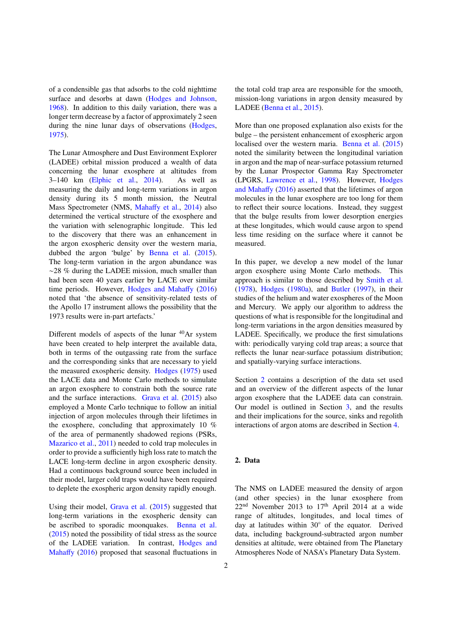of a condensible gas that adsorbs to the cold nighttime surface and desorbs at dawn [\(Hodges and Johnson,](#page-15-1) [1968\)](#page-15-1). In addition to this daily variation, there was a longer term decrease by a factor of approximately 2 seen during the nine lunar days of observations [\(Hodges,](#page-15-2) [1975\)](#page-15-2).

The Lunar Atmosphere and Dust Environment Explorer (LADEE) orbital mission produced a wealth of data concerning the lunar exosphere at altitudes from 3–140 km [\(Elphic et al.,](#page-15-3) [2014\)](#page-15-3). As well as measuring the daily and long-term variations in argon density during its 5 month mission, the Neutral Mass Spectrometer (NMS, Mahaff[y et al.,](#page-16-3) [2014\)](#page-16-3) also determined the vertical structure of the exosphere and the variation with selenographic longitude. This led to the discovery that there was an enhancement in the argon exospheric density over the western maria, dubbed the argon 'bulge' by [Benna et al.](#page-15-4) [\(2015\)](#page-15-4). The long-term variation in the argon abundance was ∼28 % during the LADEE mission, much smaller than had been seen 40 years earlier by LACE over similar time periods. However, [Hodges and Maha](#page-15-5)ffy [\(2016\)](#page-15-5) noted that 'the absence of sensitivity-related tests of the Apollo 17 instrument allows the possibility that the 1973 results were in-part artefacts.'

Different models of aspects of the lunar  $40Ar$  system have been created to help interpret the available data, both in terms of the outgassing rate from the surface and the corresponding sinks that are necessary to yield the measured exospheric density. [Hodges](#page-15-2) [\(1975\)](#page-15-2) used the LACE data and Monte Carlo methods to simulate an argon exosphere to constrain both the source rate and the surface interactions. [Grava et al.](#page-15-6) [\(2015\)](#page-15-6) also employed a Monte Carlo technique to follow an initial injection of argon molecules through their lifetimes in the exosphere, concluding that approximately 10 % of the area of permanently shadowed regions (PSRs, [Mazarico et al.,](#page-16-4) [2011\)](#page-16-4) needed to cold trap molecules in order to provide a sufficiently high loss rate to match the LACE long-term decline in argon exospheric density. Had a continuous background source been included in their model, larger cold traps would have been required to deplete the exospheric argon density rapidly enough.

Using their model, [Grava et al.](#page-15-6) [\(2015\)](#page-15-6) suggested that long-term variations in the exospheric density can be ascribed to sporadic moonquakes. [Benna et al.](#page-15-4) [\(2015\)](#page-15-4) noted the possibility of tidal stress as the source of the LADEE variation. In contrast, [Hodges and](#page-15-5) [Maha](#page-15-5)ffy [\(2016\)](#page-15-5) proposed that seasonal fluctuations in the total cold trap area are responsible for the smooth, mission-long variations in argon density measured by LADEE [\(Benna et al.,](#page-15-4) [2015\)](#page-15-4).

More than one proposed explanation also exists for the bulge – the persistent enhancement of exospheric argon localised over the western maria. [Benna et al.](#page-15-4) [\(2015\)](#page-15-4) noted the similarity between the longitudinal variation in argon and the map of near-surface potassium returned by the Lunar Prospector Gamma Ray Spectrometer (LPGRS, [Lawrence et al.,](#page-16-5) [1998\)](#page-16-5). However, [Hodges](#page-15-5) [and Maha](#page-15-5)ffy [\(2016\)](#page-15-5) asserted that the lifetimes of argon molecules in the lunar exosphere are too long for them to reflect their source locations. Instead, they suggest that the bulge results from lower desorption energies at these longitudes, which would cause argon to spend less time residing on the surface where it cannot be measured.

In this paper, we develop a new model of the lunar argon exosphere using Monte Carlo methods. This approach is similar to those described by [Smith et al.](#page-16-6) [\(1978\)](#page-16-6), [Hodges](#page-15-7) [\(1980a\)](#page-15-7), and [Butler](#page-15-8) [\(1997\)](#page-15-8), in their studies of the helium and water exospheres of the Moon and Mercury. We apply our algorithm to address the questions of what is responsible for the longitudinal and long-term variations in the argon densities measured by LADEE. Specifically, we produce the first simulations with: periodically varying cold trap areas; a source that reflects the lunar near-surface potassium distribution; and spatially-varying surface interactions.

Section [2](#page-1-0) contains a description of the data set used and an overview of the different aspects of the lunar argon exosphere that the LADEE data can constrain. Our model is outlined in Section [3,](#page-5-0) and the results and their implications for the source, sinks and regolith interactions of argon atoms are described in Section [4.](#page-8-0)

# <span id="page-1-0"></span>2. Data

The NMS on LADEE measured the density of argon (and other species) in the lunar exosphere from  $22<sup>nd</sup>$  November 2013 to 17<sup>th</sup> April 2014 at a wide range of altitudes, longitudes, and local times of day at latitudes within 30◦ of the equator. Derived data, including background-subtracted argon number densities at altitude, were obtained from The Planetary Atmospheres Node of NASA's Planetary Data System.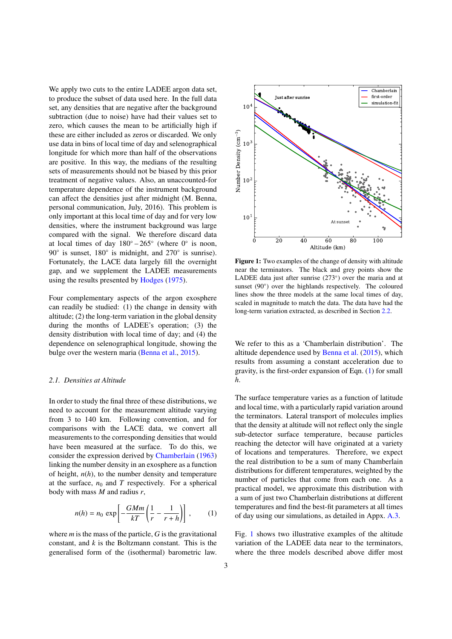We apply two cuts to the entire LADEE argon data set. to produce the subset of data used here. In the full data set, any densities that are negative after the background subtraction (due to noise) have had their values set to zero, which causes the mean to be artificially high if these are either included as zeros or discarded. We only use data in bins of local time of day and selenographical longitude for which more than half of the observations are positive. In this way, the medians of the resulting sets of measurements should not be biased by this prior treatment of negative values. Also, an unaccounted-for temperature dependence of the instrument background can affect the densities just after midnight (M. Benna, personal communication, July, 2016). This problem is only important at this local time of day and for very low densities, where the instrument background was large compared with the signal. We therefore discard data at local times of day  $180^\circ - 265^\circ$  (where  $0^\circ$  is noon, 90° is sunset, 180° is midnight, and 270° is sunrise). Fortunately, the LACE data largely fill the overnight gap, and we supplement the LADEE measurements using the results presented by [Hodges](#page-15-2) [\(1975\)](#page-15-2).

Four complementary aspects of the argon exosphere can readily be studied: (1) the change in density with altitude; (2) the long-term variation in the global density during the months of LADEE's operation; (3) the density distribution with local time of day; and (4) the dependence on selenographical longitude, showing the bulge over the western maria [\(Benna et al.,](#page-15-4) [2015\)](#page-15-4).

#### <span id="page-2-2"></span>*2.1. Densities at Altitude*

In order to study the final three of these distributions, we need to account for the measurement altitude varying from 3 to 140 km. Following convention, and for comparisons with the LACE data, we convert all measurements to the corresponding densities that would have been measured at the surface. To do this, we consider the expression derived by [Chamberlain](#page-15-9) [\(1963\)](#page-15-9) linking the number density in an exosphere as a function of height, *n*(*h*), to the number density and temperature at the surface,  $n_0$  and  $T$  respectively. For a spherical body with mass *M* and radius *r*,

<span id="page-2-0"></span>
$$
n(h) = n_0 \exp\left[-\frac{GMm}{kT}\left(\frac{1}{r} - \frac{1}{r+h}\right)\right],\qquad(1)
$$

where *m* is the mass of the particle, *G* is the gravitational constant, and *k* is the Boltzmann constant. This is the generalised form of the (isothermal) barometric law.

<span id="page-2-1"></span>

Figure 1: Two examples of the change of density with altitude near the terminators. The black and grey points show the LADEE data just after sunrise (273°) over the maria and at sunset (90°) over the highlands respectively. The coloured lines show the three models at the same local times of day, scaled in magnitude to match the data. The data have had the long-term variation extracted, as described in Section [2.2.](#page-3-0)

We refer to this as a 'Chamberlain distribution'. The altitude dependence used by [Benna et al.](#page-15-4) [\(2015\)](#page-15-4), which results from assuming a constant acceleration due to gravity, is the first-order expansion of Eqn. [\(1\)](#page-2-0) for small *h*.

The surface temperature varies as a function of latitude and local time, with a particularly rapid variation around the terminators. Lateral transport of molecules implies that the density at altitude will not reflect only the single sub-detector surface temperature, because particles reaching the detector will have originated at a variety of locations and temperatures. Therefore, we expect the real distribution to be a sum of many Chamberlain distributions for different temperatures, weighted by the number of particles that come from each one. As a practical model, we approximate this distribution with a sum of just two Chamberlain distributions at different temperatures and find the best-fit parameters at all times of day using our simulations, as detailed in Appx. [A.3.](#page-18-0)

Fig. [1](#page-2-1) shows two illustrative examples of the altitude variation of the LADEE data near to the terminators, where the three models described above differ most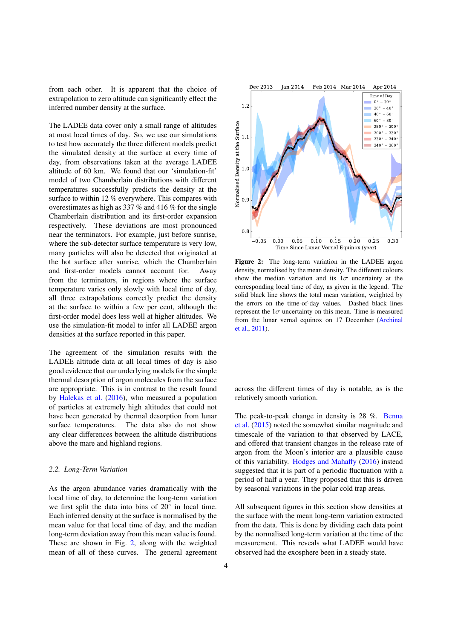from each other. It is apparent that the choice of extrapolation to zero altitude can significantly effect the inferred number density at the surface.

The LADEE data cover only a small range of altitudes at most local times of day. So, we use our simulations to test how accurately the three different models predict the simulated density at the surface at every time of day, from observations taken at the average LADEE altitude of 60 km. We found that our 'simulation-fit' model of two Chamberlain distributions with different temperatures successfully predicts the density at the surface to within 12 % everywhere. This compares with overestimates as high as 337 % and 416 % for the single Chamberlain distribution and its first-order expansion respectively. These deviations are most pronounced near the terminators. For example, just before sunrise, where the sub-detector surface temperature is very low, many particles will also be detected that originated at the hot surface after sunrise, which the Chamberlain and first-order models cannot account for. Away from the terminators, in regions where the surface temperature varies only slowly with local time of day, all three extrapolations correctly predict the density at the surface to within a few per cent, although the first-order model does less well at higher altitudes. We use the simulation-fit model to infer all LADEE argon densities at the surface reported in this paper.

The agreement of the simulation results with the LADEE altitude data at all local times of day is also good evidence that our underlying models for the simple thermal desorption of argon molecules from the surface are appropriate. This is in contrast to the result found by [Halekas et al.](#page-15-10) [\(2016\)](#page-15-10), who measured a population of particles at extremely high altitudes that could not have been generated by thermal desorption from lunar surface temperatures. The data also do not show any clear differences between the altitude distributions above the mare and highland regions.

### <span id="page-3-0"></span>*2.2. Long-Term Variation*

As the argon abundance varies dramatically with the local time of day, to determine the long-term variation we first split the data into bins of 20◦ in local time. Each inferred density at the surface is normalised by the mean value for that local time of day, and the median long-term deviation away from this mean value is found. These are shown in Fig. [2,](#page-3-1) along with the weighted mean of all of these curves. The general agreement

<span id="page-3-1"></span>

Figure 2: The long-term variation in the LADEE argon density, normalised by the mean density. The different colours show the median variation and its  $1\sigma$  uncertainty at the corresponding local time of day, as given in the legend. The solid black line shows the total mean variation, weighted by the errors on the time-of-day values. Dashed black lines represent the  $1\sigma$  uncertainty on this mean. Time is measured from the lunar vernal equinox on 17 December [\(Archinal](#page-15-11) [et al.,](#page-15-11) [2011\)](#page-15-11).

across the different times of day is notable, as is the relatively smooth variation.

The peak-to-peak change in density is 28 %. [Benna](#page-15-4) [et al.](#page-15-4) [\(2015\)](#page-15-4) noted the somewhat similar magnitude and timescale of the variation to that observed by LACE, and offered that transient changes in the release rate of argon from the Moon's interior are a plausible cause of this variability. [Hodges and Maha](#page-15-5)ffy [\(2016\)](#page-15-5) instead suggested that it is part of a periodic fluctuation with a period of half a year. They proposed that this is driven by seasonal variations in the polar cold trap areas.

All subsequent figures in this section show densities at the surface with the mean long-term variation extracted from the data. This is done by dividing each data point by the normalised long-term variation at the time of the measurement. This reveals what LADEE would have observed had the exosphere been in a steady state.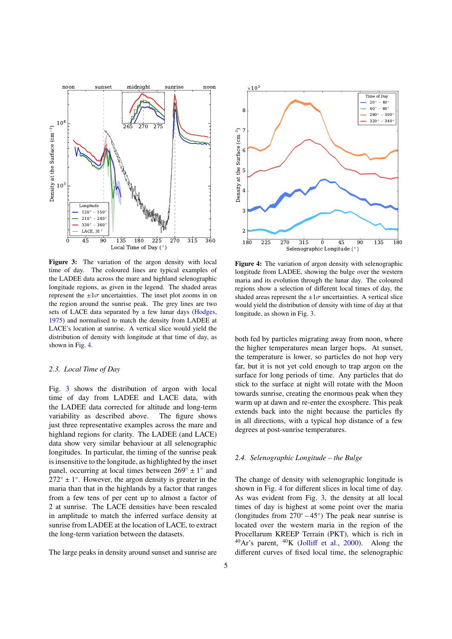<span id="page-4-1"></span>

Figure 3: The variation of the argon density with local time of day. The coloured lines are typical examples of the LADEE data across the mare and highland selenographic longitude regions, as given in the legend. The shaded areas represent the  $\pm 1\sigma$  uncertainties. The inset plot zooms in on the region around the sunrise peak. The grey lines are two sets of LACE data separated by a few lunar days [\(Hodges,](#page-15-2) [1975\)](#page-15-2) and normalised to match the density from LADEE at LACE's location at sunrise. A vertical slice would yield the distribution of density with longitude at that time of day, as shown in Fig. [4.](#page-4-0)

# <span id="page-4-2"></span>*2.3. Local Time of Day*

Fig. [3](#page-4-1) shows the distribution of argon with local time of day from LADEE and LACE data, with the LADEE data corrected for altitude and long-term variability as described above. The figure shows just three representative examples across the mare and highland regions for clarity. The LADEE (and LACE) data show very similar behaviour at all selenographic longitudes. In particular, the timing of the sunrise peak is insensitive to the longitude, as highlighted by the inset panel, occurring at local times between  $269^\circ \pm 1^\circ$  and  $272^{\circ} \pm 1^{\circ}$ . However, the argon density is greater in the maria than that in the highlands by a factor that ranges from a few tens of per cent up to almost a factor of 2 at sunrise. The LACE densities have been rescaled in amplitude to match the inferred surface density at sunrise from LADEE at the location of LACE, to extract the long-term variation between the datasets.

The large peaks in density around sunset and sunrise are

<span id="page-4-0"></span>

Figure 4: The variation of argon density with selenographic longitude from LADEE, showing the bulge over the western maria and its evolution through the lunar day. The coloured regions show a selection of different local times of day, the shaded areas represent the  $\pm 1\sigma$  uncertainties. A vertical slice would yield the distribution of density with time of day at that longitude, as shown in Fig. [3.](#page-4-1)

both fed by particles migrating away from noon, where the higher temperatures mean larger hops. At sunset, the temperature is lower, so particles do not hop very far, but it is not yet cold enough to trap argon on the surface for long periods of time. Any particles that do stick to the surface at night will rotate with the Moon towards sunrise, creating the enormous peak when they warm up at dawn and re-enter the exosphere. This peak extends back into the night because the particles fly in all directions, with a typical hop distance of a few degrees at post-sunrise temperatures.

# *2.4. Selenographic Longitude – the Bulge*

The change of density with selenographic longitude is shown in Fig. [4](#page-4-0) for different slices in local time of day. As was evident from Fig. [3,](#page-4-1) the density at all local times of day is highest at some point over the maria (longitudes from  $270^\circ - 45^\circ$ ) The peak near sunrise is located over the western maria in the region of the Procellarum KREEP Terrain (PKT), which is rich in  $^{40}Ar$ 's parent,  $^{40}K$  (Jolliff [et al.,](#page-16-7) [2000\)](#page-16-7). Along the different curves of fixed local time, the selenographic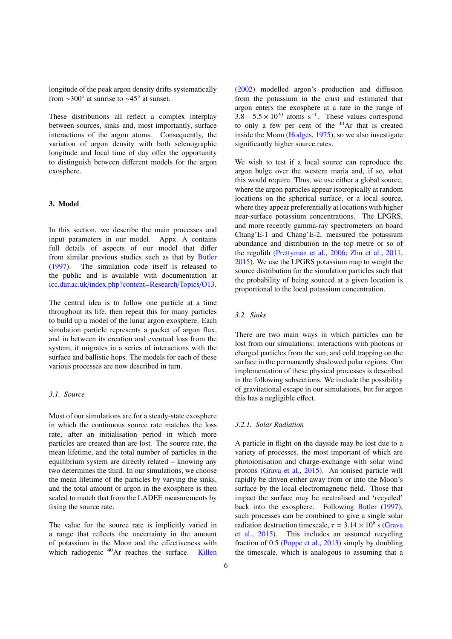longitude of the peak argon density drifts systematically from  $\sim$ 300 $\degree$  at sunrise to  $\sim$ 45 $\degree$  at sunset.

These distributions all reflect a complex interplay between sources, sinks and, most importantly, surface interactions of the argon atoms. Consequently, the variation of argon density with both selenographic longitude and local time of day offer the opportunity to distinguish between different models for the argon exosphere.

# <span id="page-5-0"></span>3. Model

In this section, we describe the main processes and input parameters in our model. Appx. [A](#page-16-8) contains full details of aspects of our model that differ from similar previous studies such as that by [Butler](#page-15-8) [\(1997\)](#page-15-8). The simulation code itself is released to the public and is available with documentation at icc.dur.ac.uk/[index.php?content](http://www.icc.dur.ac.uk/index.php?content=Research/Topics/O13)=Research/Topics/O13.

The central idea is to follow one particle at a time throughout its life, then repeat this for many particles to build up a model of the lunar argon exosphere. Each simulation particle represents a packet of argon flux, and in between its creation and eventual loss from the system, it migrates in a series of interactions with the surface and ballistic hops. The models for each of these various processes are now described in turn.

# *3.1. Source*

Most of our simulations are for a steady-state exosphere in which the continuous source rate matches the loss rate, after an initialisation period in which more particles are created than are lost. The source rate, the mean lifetime, and the total number of particles in the equilibrium system are directly related – knowing any two determines the third. In our simulations, we choose the mean lifetime of the particles by varying the sinks, and the total amount of argon in the exosphere is then scaled to match that from the LADEE measurements by fixing the source rate.

The value for the source rate is implicitly varied in a range that reflects the uncertainty in the amount of potassium in the Moon and the effectiveness with which radiogenic <sup>40</sup>Ar reaches the surface. [Killen](#page-16-9)

[\(2002\)](#page-16-9) modelled argon's production and diffusion from the potassium in the crust and estimated that argon enters the exosphere at a rate in the range of  $3.8 - 5.5 \times 10^{20}$  atoms s<sup>-1</sup>. These values correspond<br>to only a few per cent of the <sup>40</sup>Ar that is created to only a few per cent of the  $40Ar$  that is created inside the Moon [\(Hodges,](#page-15-2) [1975\)](#page-15-2), so we also investigate significantly higher source rates.

We wish to test if a local source can reproduce the argon bulge over the western maria and, if so, what this would require. Thus, we use either a global source, where the argon particles appear isotropically at random locations on the spherical surface, or a local source, where they appear preferentially at locations with higher near-surface potassium concentrations. The LPGRS, and more recently gamma-ray spectrometers on board Chang'E-1 and Chang'E-2, measured the potassium abundance and distribution in the top metre or so of the regolith [\(Prettyman et al.,](#page-16-10) [2006;](#page-16-10) [Zhu et al.,](#page-16-11) [2011,](#page-16-11) [2015\)](#page-16-12). We use the LPGRS potassium map to weight the source distribution for the simulation particles such that the probability of being sourced at a given location is proportional to the local potassium concentration.

# *3.2. Sinks*

There are two main ways in which particles can be lost from our simulations: interactions with photons or charged particles from the sun; and cold trapping on the surface in the permanently shadowed polar regions. Our implementation of these physical processes is described in the following subsections. We include the possibility of gravitational escape in our simulations, but for argon this has a negligible effect.

### *3.2.1. Solar Radiation*

A particle in flight on the dayside may be lost due to a variety of processes, the most important of which are photoionisation and charge-exchange with solar wind protons [\(Grava et al.,](#page-15-6) [2015\)](#page-15-6). An ionised particle will rapidly be driven either away from or into the Moon's surface by the local electromagnetic field. Those that impact the surface may be neutralised and 'recycled' back into the exosphere. Following [Butler](#page-15-8) [\(1997\)](#page-15-8), such processes can be combined to give a single solar radiation destruction timescale,  $\tau = 3.14 \times 10^6$  s [\(Grava](#page-15-6)<br>et al. 2015) This includes an assumed recycling [et al.,](#page-15-6) [2015\)](#page-15-6). This includes an assumed recycling fraction of 0.5 [\(Poppe et al.,](#page-16-13) [2013\)](#page-16-13) simply by doubling the timescale, which is analogous to assuming that a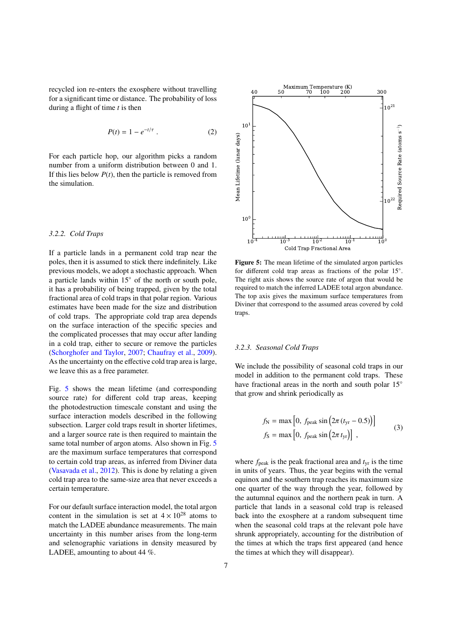recycled ion re-enters the exosphere without travelling for a significant time or distance. The probability of loss during a flight of time *t* is then

$$
P(t) = 1 - e^{-t/\tau} \ . \tag{2}
$$

For each particle hop, our algorithm picks a random number from a uniform distribution between 0 and 1. If this lies below  $P(t)$ , then the particle is removed from the simulation.

#### *3.2.2. Cold Traps*

If a particle lands in a permanent cold trap near the poles, then it is assumed to stick there indefinitely. Like previous models, we adopt a stochastic approach. When a particle lands within 15◦ of the north or south pole, it has a probability of being trapped, given by the total fractional area of cold traps in that polar region. Various estimates have been made for the size and distribution of cold traps. The appropriate cold trap area depends on the surface interaction of the specific species and the complicated processes that may occur after landing in a cold trap, either to secure or remove the particles [\(Schorghofer and Taylor,](#page-16-14) [2007;](#page-16-14) [Chaufray et al.,](#page-15-12) [2009\)](#page-15-12). As the uncertainty on the effective cold trap area is large, we leave this as a free parameter.

Fig. [5](#page-6-0) shows the mean lifetime (and corresponding source rate) for different cold trap areas, keeping the photodestruction timescale constant and using the surface interaction models described in the following subsection. Larger cold traps result in shorter lifetimes, and a larger source rate is then required to maintain the same total number of argon atoms. Also shown in Fig. [5](#page-6-0) are the maximum surface temperatures that correspond to certain cold trap areas, as inferred from Diviner data [\(Vasavada et al.,](#page-16-15) [2012\)](#page-16-15). This is done by relating a given cold trap area to the same-size area that never exceeds a certain temperature.

For our default surface interaction model, the total argon content in the simulation is set at  $4 \times 10^{28}$  atoms to match the LADEE abundance measurements. The main uncertainty in this number arises from the long-term and selenographic variations in density measured by LADEE, amounting to about 44 %.

<span id="page-6-0"></span>

Figure 5: The mean lifetime of the simulated argon particles for different cold trap areas as fractions of the polar 15°. The right axis shows the source rate of argon that would be required to match the inferred LADEE total argon abundance. The top axis gives the maximum surface temperatures from Diviner that correspond to the assumed areas covered by cold traps.

# <span id="page-6-1"></span>*3.2.3. Seasonal Cold Traps*

We include the possibility of seasonal cold traps in our model in addition to the permanent cold traps. These have fractional areas in the north and south polar 15° that grow and shrink periodically as

$$
f_{\rm N} = \max\left[0, f_{\rm peak} \sin\left(2\pi \left(t_{\rm yr} - 0.5\right)\right)\right]
$$
  

$$
f_{\rm S} = \max\left[0, f_{\rm peak} \sin\left(2\pi \, t_{\rm yr}\right)\right],
$$
 (3)

where  $f_{\text{peak}}$  is the peak fractional area and  $t_{\text{vr}}$  is the time in units of years. Thus, the year begins with the vernal equinox and the southern trap reaches its maximum size one quarter of the way through the year, followed by the autumnal equinox and the northern peak in turn. A particle that lands in a seasonal cold trap is released back into the exosphere at a random subsequent time when the seasonal cold traps at the relevant pole have shrunk appropriately, accounting for the distribution of the times at which the traps first appeared (and hence the times at which they will disappear).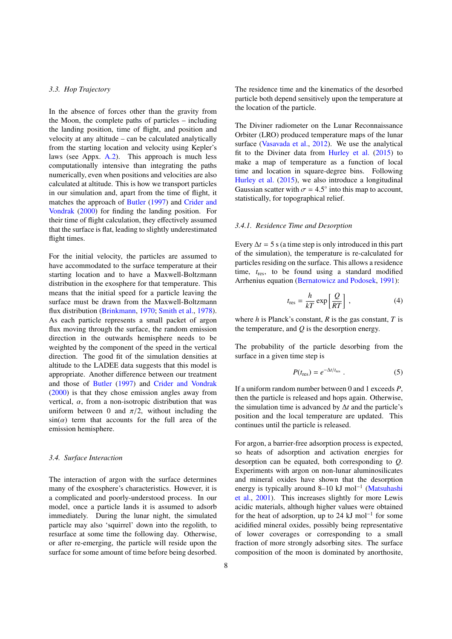# *3.3. Hop Trajectory*

In the absence of forces other than the gravity from the Moon, the complete paths of particles – including the landing position, time of flight, and position and velocity at any altitude – can be calculated analytically from the starting location and velocity using Kepler's laws (see Appx. [A.2\)](#page-16-16). This approach is much less computationally intensive than integrating the paths numerically, even when positions and velocities are also calculated at altitude. This is how we transport particles in our simulation and, apart from the time of flight, it matches the approach of [Butler](#page-15-8) [\(1997\)](#page-15-8) and [Crider and](#page-15-13) [Vondrak](#page-15-13) [\(2000\)](#page-15-13) for finding the landing position. For their time of flight calculation, they effectively assumed that the surface is flat, leading to slightly underestimated flight times.

For the initial velocity, the particles are assumed to have accommodated to the surface temperature at their starting location and to have a Maxwell-Boltzmann distribution in the exosphere for that temperature. This means that the initial speed for a particle leaving the surface must be drawn from the Maxwell-Boltzmann flux distribution [\(Brinkmann,](#page-15-14) [1970;](#page-15-14) [Smith et al.,](#page-16-6) [1978\)](#page-16-6). As each particle represents a small packet of argon flux moving through the surface, the random emission direction in the outwards hemisphere needs to be weighted by the component of the speed in the vertical direction. The good fit of the simulation densities at altitude to the LADEE data suggests that this model is appropriate. Another difference between our treatment and those of [Butler](#page-15-8) [\(1997\)](#page-15-8) and [Crider and Vondrak](#page-15-13) [\(2000\)](#page-15-13) is that they chose emission angles away from vertical,  $\alpha$ , from a non-isotropic distribution that was uniform between 0 and  $\pi/2$ , without including the  $sin(\alpha)$  term that accounts for the full area of the emission hemisphere.

#### <span id="page-7-0"></span>*3.4. Surface Interaction*

The interaction of argon with the surface determines many of the exosphere's characteristics. However, it is a complicated and poorly-understood process. In our model, once a particle lands it is assumed to adsorb immediately. During the lunar night, the simulated particle may also 'squirrel' down into the regolith, to resurface at some time the following day. Otherwise, or after re-emerging, the particle will reside upon the surface for some amount of time before being desorbed.

The residence time and the kinematics of the desorbed particle both depend sensitively upon the temperature at the location of the particle.

The Diviner radiometer on the Lunar Reconnaissance Orbiter (LRO) produced temperature maps of the lunar surface [\(Vasavada et al.,](#page-16-15) [2012\)](#page-16-15). We use the analytical fit to the Diviner data from [Hurley et al.](#page-15-15) [\(2015\)](#page-15-15) to make a map of temperature as a function of local time and location in square-degree bins. Following [Hurley et al.](#page-15-15) [\(2015\)](#page-15-15), we also introduce a longitudinal Gaussian scatter with  $\sigma = 4.5^{\circ}$  into this map to account,<br>statistically for topographical relief statistically, for topographical relief.

#### *3.4.1. Residence Time and Desorption*

Every  $\Delta t = 5$  s (a time step is only introduced in this part of the simulation), the temperature is re-calculated for particles residing on the surface. This allows a residence time, *t*res, to be found using a standard modified Arrhenius equation [\(Bernatowicz and Podosek,](#page-15-16) [1991\)](#page-15-16):

$$
t_{\rm res} = \frac{h}{kT} \exp\left[\frac{Q}{RT}\right],\tag{4}
$$

where *h* is Planck's constant, *R* is the gas constant, *T* is the temperature, and *Q* is the desorption energy.

The probability of the particle desorbing from the surface in a given time step is

$$
P(t_{\rm res}) = e^{-\Delta t / t_{\rm res}} \ . \tag{5}
$$

If a uniform random number between 0 and 1 exceeds *P*, then the particle is released and hops again. Otherwise, the simulation time is advanced by ∆*t* and the particle's position and the local temperature are updated. This continues until the particle is released.

For argon, a barrier-free adsorption process is expected, so heats of adsorption and activation energies for desorption can be equated, both corresponding to *Q*. Experiments with argon on non-lunar aluminosilicates and mineral oxides have shown that the desorption energy is typically around 8-10 kJ mol<sup>-1</sup> [\(Matsuhashi](#page-16-17) [et al.,](#page-16-17) [2001\)](#page-16-17). This increases slightly for more Lewis acidic materials, although higher values were obtained for the heat of adsorption, up to 24 kJ mol<sup>-1</sup> for some acidified mineral oxides, possibly being representative of lower coverages or corresponding to a small fraction of more strongly adsorbing sites. The surface composition of the moon is dominated by anorthosite,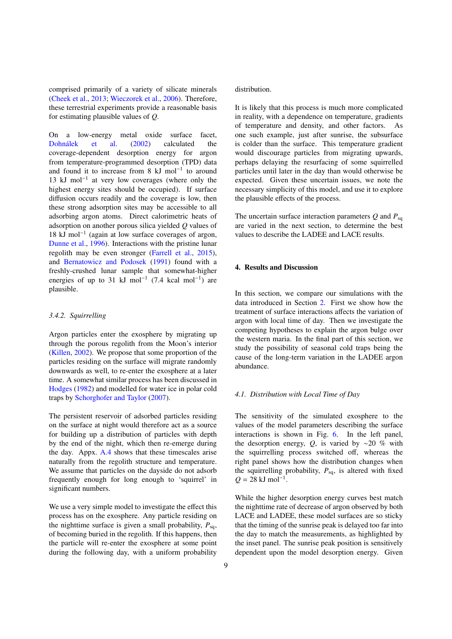comprised primarily of a variety of silicate minerals [\(Cheek et al.,](#page-15-17) [2013;](#page-15-17) [Wieczorek et al.,](#page-16-18) [2006\)](#page-16-18). Therefore, these terrestrial experiments provide a reasonable basis for estimating plausible values of *Q*.

On a low-energy metal oxide surface facet, Dohnálek et al. [\(2002\)](#page-15-18) calculated the coverage-dependent desorption energy for argon from temperature-programmed desorption (TPD) data and found it to increase from 8  $kJ$  mol<sup>-1</sup> to around 13 kJ mol−<sup>1</sup> at very low coverages (where only the highest energy sites should be occupied). If surface diffusion occurs readily and the coverage is low, then these strong adsorption sites may be accessible to all adsorbing argon atoms. Direct calorimetric heats of adsorption on another porous silica yielded *Q* values of 18 kJ mol−<sup>1</sup> (again at low surface coverages of argon, [Dunne et al.,](#page-15-19) [1996\)](#page-15-19). Interactions with the pristine lunar regolith may be even stronger [\(Farrell et al.,](#page-15-20) [2015\)](#page-15-20), and [Bernatowicz and Podosek](#page-15-16) [\(1991\)](#page-15-16) found with a freshly-crushed lunar sample that somewhat-higher energies of up to 31 kJ mol<sup>-1</sup> (7.4 kcal mol<sup>-1</sup>) are plausible.

# *3.4.2. Squirrelling*

Argon particles enter the exosphere by migrating up through the porous regolith from the Moon's interior [\(Killen,](#page-16-9) [2002\)](#page-16-9). We propose that some proportion of the particles residing on the surface will migrate randomly downwards as well, to re-enter the exosphere at a later time. A somewhat similar process has been discussed in [Hodges](#page-15-21) [\(1982\)](#page-15-21) and modelled for water ice in polar cold traps by [Schorghofer and Taylor](#page-16-14) [\(2007\)](#page-16-14).

The persistent reservoir of adsorbed particles residing on the surface at night would therefore act as a source for building up a distribution of particles with depth by the end of the night, which then re-emerge during the day. Appx. [A.4](#page-18-1) shows that these timescales arise naturally from the regolith structure and temperature. We assume that particles on the dayside do not adsorb frequently enough for long enough to 'squirrel' in significant numbers.

We use a very simple model to investigate the effect this process has on the exosphere. Any particle residing on the nighttime surface is given a small probability,  $P_{sq}$ , of becoming buried in the regolith. If this happens, then the particle will re-enter the exosphere at some point during the following day, with a uniform probability

distribution.

It is likely that this process is much more complicated in reality, with a dependence on temperature, gradients of temperature and density, and other factors. As one such example, just after sunrise, the subsurface is colder than the surface. This temperature gradient would discourage particles from migrating upwards, perhaps delaying the resurfacing of some squirrelled particles until later in the day than would otherwise be expected. Given these uncertain issues, we note the necessary simplicity of this model, and use it to explore the plausible effects of the process.

The uncertain surface interaction parameters  $Q$  and  $P_{sa}$ are varied in the next section, to determine the best values to describe the LADEE and LACE results.

# <span id="page-8-0"></span>4. Results and Discussion

In this section, we compare our simulations with the data introduced in Section [2.](#page-1-0) First we show how the treatment of surface interactions affects the variation of argon with local time of day. Then we investigate the competing hypotheses to explain the argon bulge over the western maria. In the final part of this section, we study the possibility of seasonal cold traps being the cause of the long-term variation in the LADEE argon abundance.

#### *4.1. Distribution with Local Time of Day*

The sensitivity of the simulated exosphere to the values of the model parameters describing the surface interactions is shown in Fig. [6.](#page-9-0) In the left panel, the desorption energy, *Q*, is varied by ∼20 % with the squirrelling process switched off, whereas the right panel shows how the distribution changes when the squirrelling probability,  $P_{\text{so}}$ , is altered with fixed  $Q = 28 \text{ kJ mol}^{-1}$ .

While the higher desorption energy curves best match the nighttime rate of decrease of argon observed by both LACE and LADEE, these model surfaces are so sticky that the timing of the sunrise peak is delayed too far into the day to match the measurements, as highlighted by the inset panel. The sunrise peak position is sensitively dependent upon the model desorption energy. Given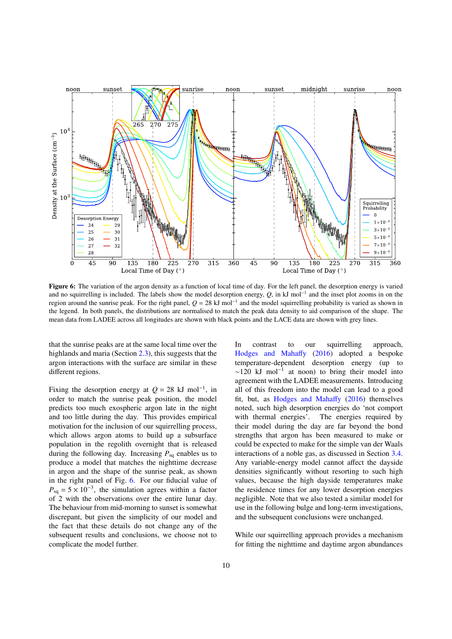<span id="page-9-0"></span>

Figure 6: The variation of the argon density as a function of local time of day. For the left panel, the desorption energy is varied and no squirrelling is included. The labels show the model desorption energy, Q, in kJ mol<sup>-1</sup> and the inset plot zooms in on the region around the sunrise peak. For the right panel,  $Q = 28 \text{ kJ}$  mol<sup>-1</sup> and the model squirrelling probability is varied as shown in the legend. In both panels, the distributions are normalised to match the peak data density to aid comparison of the shape. The mean data from LADEE across all longitudes are shown with black points and the LACE data are shown with grey lines.

that the sunrise peaks are at the same local time over the highlands and maria (Section [2.3\)](#page-4-2), this suggests that the argon interactions with the surface are similar in these different regions.

Fixing the desorption energy at  $Q = 28$  kJ mol<sup>-1</sup>, in order to match the sunrise peak position, the model predicts too much exospheric argon late in the night and too little during the day. This provides empirical motivation for the inclusion of our squirrelling process. which allows argon atoms to build up a subsurface population in the regolith overnight that is released during the following day. Increasing  $P_{sa}$  enables us to produce a model that matches the nighttime decrease in argon and the shape of the sunrise peak, as shown in the right panel of Fig. [6.](#page-9-0) For our fiducial value of  $P_{\text{sq}} = 5 \times 10^{-3}$ , the simulation agrees within a factor of 2 with the observations over the entire lunar day. The behaviour from mid-morning to sunset is somewhat discrepant, but given the simplicity of our model and the fact that these details do not change any of the subsequent results and conclusions, we choose not to complicate the model further.

In contrast to our squirrelling approach, [Hodges and Maha](#page-15-5)ffy [\(2016\)](#page-15-5) adopted a bespoke temperature-dependent desorption energy (up to  $\sim$ 120 kJ mol<sup>-1</sup> at noon) to bring their model into agreement with the LADEE measurements. Introducing all of this freedom into the model can lead to a good fit, but, as [Hodges and Maha](#page-15-5)ffy [\(2016\)](#page-15-5) themselves noted, such high desorption energies do 'not comport with thermal energies'. The energies required by their model during the day are far beyond the bond strengths that argon has been measured to make or could be expected to make for the simple van der Waals interactions of a noble gas, as discussed in Section [3.4.](#page-7-0) Any variable-energy model cannot affect the dayside densities significantly without resorting to such high values, because the high dayside temperatures make the residence times for any lower desorption energies negligible. Note that we also tested a similar model for use in the following bulge and long-term investigations, and the subsequent conclusions were unchanged.

While our squirrelling approach provides a mechanism for fitting the nighttime and daytime argon abundances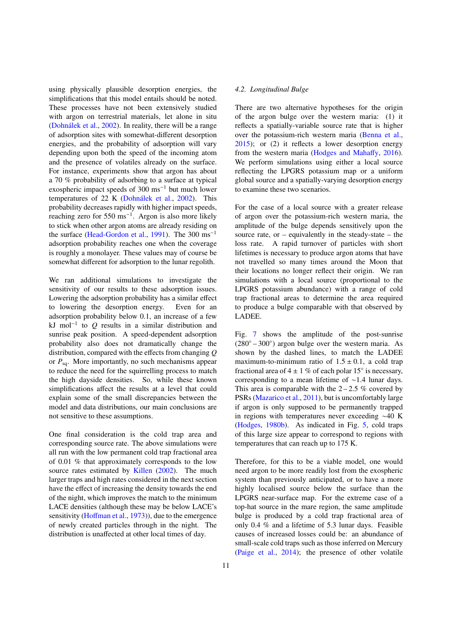using physically plausible desorption energies, the simplifications that this model entails should be noted. These processes have not been extensively studied with argon on terrestrial materials, let alone in situ (Dohnálek et al.,  $2002$ ). In reality, there will be a range of adsorption sites with somewhat-different desorption energies, and the probability of adsorption will vary depending upon both the speed of the incoming atom and the presence of volatiles already on the surface. For instance, experiments show that argon has about a 70 % probability of adsorbing to a surface at typical exospheric impact speeds of 300 ms−<sup>1</sup> but much lower temperatures of  $22$  K (Dohnálek et al.,  $2002$ ). This probability decreases rapidly with higher impact speeds, reaching zero for 550 ms<sup>-1</sup>. Argon is also more likely to stick when other argon atoms are already residing on the surface [\(Head-Gordon et al.,](#page-15-22) [1991\)](#page-15-22). The 300 ms−<sup>1</sup> adsorption probability reaches one when the coverage is roughly a monolayer. These values may of course be somewhat different for adsorption to the lunar regolith.

We ran additional simulations to investigate the sensitivity of our results to these adsorption issues. Lowering the adsorption probability has a similar effect to lowering the desorption energy. Even for an adsorption probability below 0.1, an increase of a few kJ mol<sup>−</sup><sup>1</sup> to *Q* results in a similar distribution and sunrise peak position. A speed-dependent adsorption probability also does not dramatically change the distribution, compared with the effects from changing *Q* or  $P_{\text{so}}$ . More importantly, no such mechanisms appear to reduce the need for the squirrelling process to match the high dayside densities. So, while these known simplifications affect the results at a level that could explain some of the small discrepancies between the model and data distributions, our main conclusions are not sensitive to these assumptions.

One final consideration is the cold trap area and corresponding source rate. The above simulations were all run with the low permanent cold trap fractional area of 0.01 % that approximately corresponds to the low source rates estimated by [Killen](#page-16-9) [\(2002\)](#page-16-9). The much larger traps and high rates considered in the next section have the effect of increasing the density towards the end of the night, which improves the match to the minimum LACE densities (although these may be below LACE's sensitivity (Hoff[man et al.,](#page-15-0) [1973\)](#page-15-0)), due to the emergence of newly created particles through in the night. The distribution is unaffected at other local times of day.

# *4.2. Longitudinal Bulge*

There are two alternative hypotheses for the origin of the argon bulge over the western maria: (1) it reflects a spatially-variable source rate that is higher over the potassium-rich western maria [\(Benna et al.,](#page-15-4) [2015\)](#page-15-4); or (2) it reflects a lower desorption energy from the western maria [\(Hodges and Maha](#page-15-5)ffy, [2016\)](#page-15-5). We perform simulations using either a local source reflecting the LPGRS potassium map or a uniform global source and a spatially-varying desorption energy to examine these two scenarios.

For the case of a local source with a greater release of argon over the potassium-rich western maria, the amplitude of the bulge depends sensitively upon the source rate, or  $-$  equivalently in the steady-state  $-$  the loss rate. A rapid turnover of particles with short lifetimes is necessary to produce argon atoms that have not travelled so many times around the Moon that their locations no longer reflect their origin. We ran simulations with a local source (proportional to the LPGRS potassium abundance) with a range of cold trap fractional areas to determine the area required to produce a bulge comparable with that observed by LADEE.

Fig. [7](#page-11-0) shows the amplitude of the post-sunrise (280◦ – 300◦ ) argon bulge over the western maria. As shown by the dashed lines, to match the LADEE maximum-to-minimum ratio of  $1.5 \pm 0.1$ , a cold trap fractional area of  $4 \pm 1$  % of each polar 15 $\degree$  is necessary, corresponding to a mean lifetime of ∼1.4 lunar days. This area is comparable with the  $2 - 2.5$  % covered by PSRs [\(Mazarico et al.,](#page-16-4) [2011\)](#page-16-4), but is uncomfortably large if argon is only supposed to be permanently trapped in regions with temperatures never exceeding ∼40 K [\(Hodges,](#page-15-23) [1980b\)](#page-15-23). As indicated in Fig. [5,](#page-6-0) cold traps of this large size appear to correspond to regions with temperatures that can reach up to 175 K.

Therefore, for this to be a viable model, one would need argon to be more readily lost from the exospheric system than previously anticipated, or to have a more highly localised source below the surface than the LPGRS near-surface map. For the extreme case of a top-hat source in the mare region, the same amplitude bulge is produced by a cold trap fractional area of only 0.4 % and a lifetime of 5.3 lunar days. Feasible causes of increased losses could be: an abundance of small-scale cold traps such as those inferred on Mercury [\(Paige et al.,](#page-16-19) [2014\)](#page-16-19); the presence of other volatile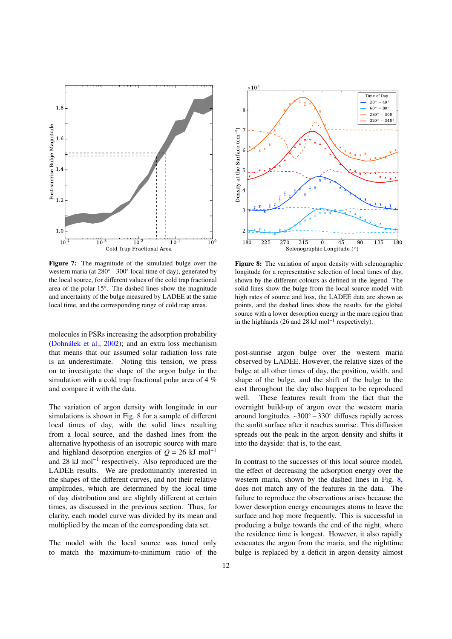<span id="page-11-0"></span>

Figure 7: The magnitude of the simulated bulge over the western maria (at 280° – 300° local time of day), generated by the local source, for different values of the cold trap fractional area of the polar 15◦ . The dashed lines show the magnitude and uncertainty of the bulge measured by LADEE at the same local time, and the corresponding range of cold trap areas.

molecules in PSRs increasing the adsorption probability (Dohnálek et al., [2002\)](#page-15-18); and an extra loss mechanism that means that our assumed solar radiation loss rate is an underestimate. Noting this tension, we press on to investigate the shape of the argon bulge in the simulation with a cold trap fractional polar area of 4 % and compare it with the data.

The variation of argon density with longitude in our simulations is shown in Fig. [8](#page-11-1) for a sample of different local times of day, with the solid lines resulting from a local source, and the dashed lines from the alternative hypothesis of an isotropic source with mare and highland desorption energies of  $Q = 26$  kJ mol<sup>-1</sup> and 28 kJ mol<sup>−</sup><sup>1</sup> respectively. Also reproduced are the LADEE results. We are predominantly interested in the shapes of the different curves, and not their relative amplitudes, which are determined by the local time of day distribution and are slightly different at certain times, as discussed in the previous section. Thus, for clarity, each model curve was divided by its mean and multiplied by the mean of the corresponding data set.

The model with the local source was tuned only to match the maximum-to-minimum ratio of the

<span id="page-11-1"></span>

Figure 8: The variation of argon density with selenographic longitude for a representative selection of local times of day, shown by the different colours as defined in the legend. The solid lines show the bulge from the local source model with high rates of source and loss, the LADEE data are shown as points, and the dashed lines show the results for the global source with a lower desorption energy in the mare region than in the highlands (26 and 28 kJ mol<sup>−</sup><sup>1</sup> respectively).

post-sunrise argon bulge over the western maria observed by LADEE. However, the relative sizes of the bulge at all other times of day, the position, width, and shape of the bulge, and the shift of the bulge to the east throughout the day also happen to be reproduced well. These features result from the fact that the overnight build-up of argon over the western maria around longitudes ∼300◦ – 330◦ diffuses rapidly across the sunlit surface after it reaches sunrise. This diffusion spreads out the peak in the argon density and shifts it into the dayside: that is, to the east.

In contrast to the successes of this local source model, the effect of decreasing the adsorption energy over the western maria, shown by the dashed lines in Fig. [8,](#page-11-1) does not match any of the features in the data. The failure to reproduce the observations arises because the lower desorption energy encourages atoms to leave the surface and hop more frequently. This is successful in producing a bulge towards the end of the night, where the residence time is longest. However, it also rapidly evacuates the argon from the maria, and the nighttime bulge is replaced by a deficit in argon density almost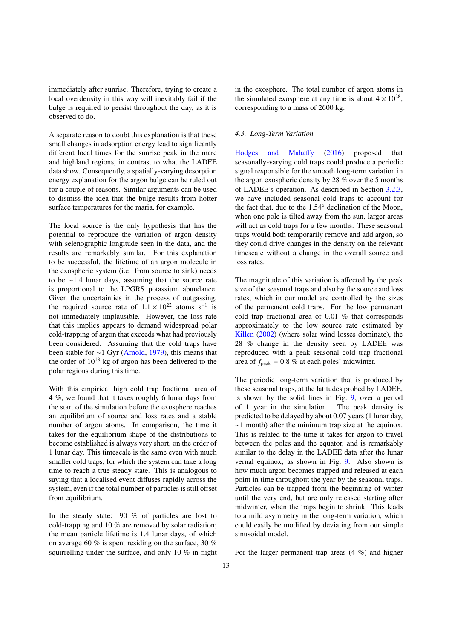immediately after sunrise. Therefore, trying to create a local overdensity in this way will inevitably fail if the bulge is required to persist throughout the day, as it is observed to do.

A separate reason to doubt this explanation is that these small changes in adsorption energy lead to significantly different local times for the sunrise peak in the mare and highland regions, in contrast to what the LADEE data show. Consequently, a spatially-varying desorption energy explanation for the argon bulge can be ruled out for a couple of reasons. Similar arguments can be used to dismiss the idea that the bulge results from hotter surface temperatures for the maria, for example.

The local source is the only hypothesis that has the potential to reproduce the variation of argon density with selenographic longitude seen in the data, and the results are remarkably similar. For this explanation to be successful, the lifetime of an argon molecule in the exospheric system (i.e. from source to sink) needs to be ∼1.4 lunar days, assuming that the source rate is proportional to the LPGRS potassium abundance. Given the uncertainties in the process of outgassing, the required source rate of  $1.1 \times 10^{22}$  atoms s<sup>−1</sup> is<br>not immediately implausible. However the loss rate not immediately implausible. However, the loss rate that this implies appears to demand widespread polar cold-trapping of argon that exceeds what had previously been considered. Assuming that the cold traps have been stable for ∼1 Gyr [\(Arnold,](#page-15-24) [1979\)](#page-15-24), this means that the order of  $10^{13}$  kg of argon has been delivered to the polar regions during this time.

With this empirical high cold trap fractional area of 4 %, we found that it takes roughly 6 lunar days from the start of the simulation before the exosphere reaches an equilibrium of source and loss rates and a stable number of argon atoms. In comparison, the time it takes for the equilibrium shape of the distributions to become established is always very short, on the order of 1 lunar day. This timescale is the same even with much smaller cold traps, for which the system can take a long time to reach a true steady state. This is analogous to saying that a localised event diffuses rapidly across the system, even if the total number of particles is still offset from equilibrium.

In the steady state: 90 % of particles are lost to cold-trapping and 10 % are removed by solar radiation; the mean particle lifetime is 1.4 lunar days, of which on average 60 % is spent residing on the surface, 30 % squirrelling under the surface, and only 10 % in flight in the exosphere. The total number of argon atoms in the simulated exosphere at any time is about  $4 \times 10^{28}$ , corresponding to a mass of 2600 kg.

#### *4.3. Long-Term Variation*

[Hodges and Maha](#page-15-5)ffy [\(2016\)](#page-15-5) proposed that seasonally-varying cold traps could produce a periodic signal responsible for the smooth long-term variation in the argon exospheric density by 28 % over the 5 months of LADEE's operation. As described in Section [3.2.3,](#page-6-1) we have included seasonal cold traps to account for the fact that, due to the 1.54◦ declination of the Moon, when one pole is tilted away from the sun, larger areas will act as cold traps for a few months. These seasonal traps would both temporarily remove and add argon, so they could drive changes in the density on the relevant timescale without a change in the overall source and loss rates.

The magnitude of this variation is affected by the peak size of the seasonal traps and also by the source and loss rates, which in our model are controlled by the sizes of the permanent cold traps. For the low permanent cold trap fractional area of 0.01 % that corresponds approximately to the low source rate estimated by [Killen](#page-16-9) [\(2002\)](#page-16-9) (where solar wind losses dominate), the 28 % change in the density seen by LADEE was reproduced with a peak seasonal cold trap fractional area of  $f_{\text{peak}} = 0.8 \%$  at each poles' midwinter.

The periodic long-term variation that is produced by these seasonal traps, at the latitudes probed by LADEE, is shown by the solid lines in Fig. [9,](#page-13-0) over a period of 1 year in the simulation. The peak density is predicted to be delayed by about 0.07 years (1 lunar day, ∼1 month) after the minimum trap size at the equinox. This is related to the time it takes for argon to travel between the poles and the equator, and is remarkably similar to the delay in the LADEE data after the lunar vernal equinox, as shown in Fig. [9.](#page-13-0) Also shown is how much argon becomes trapped and released at each point in time throughout the year by the seasonal traps. Particles can be trapped from the beginning of winter until the very end, but are only released starting after midwinter, when the traps begin to shrink. This leads to a mild asymmetry in the long-term variation, which could easily be modified by deviating from our simple sinusoidal model.

For the larger permanent trap areas (4 %) and higher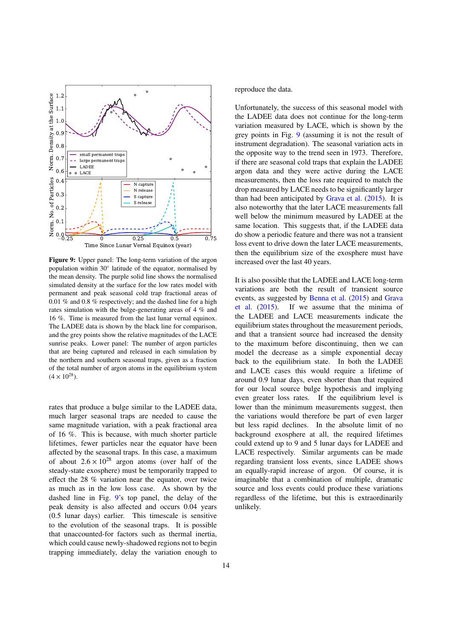<span id="page-13-0"></span>

Figure 9: Upper panel: The long-term variation of the argon population within 30° latitude of the equator, normalised by the mean density. The purple solid line shows the normalised simulated density at the surface for the low rates model with permanent and peak seasonal cold trap fractional areas of 0.01 % and 0.8 % respectively; and the dashed line for a high rates simulation with the bulge-generating areas of 4 % and 16 %. Time is measured from the last lunar vernal equinox. The LADEE data is shown by the black line for comparison, and the grey points show the relative magnitudes of the LACE sunrise peaks. Lower panel: The number of argon particles that are being captured and released in each simulation by the northern and southern seasonal traps, given as a fraction of the total number of argon atoms in the equilibrium system  $(4 \times 10^{28})$ .

rates that produce a bulge similar to the LADEE data, much larger seasonal traps are needed to cause the same magnitude variation, with a peak fractional area of 16 %. This is because, with much shorter particle lifetimes, fewer particles near the equator have been affected by the seasonal traps. In this case, a maximum of about  $2.6 \times 10^{28}$  argon atoms (over half of the steady-state exosphere) must be temporarily trapped to effect the 28 % variation near the equator, over twice as much as in the low loss case. As shown by the dashed line in Fig. [9'](#page-13-0)s top panel, the delay of the peak density is also affected and occurs 0.04 years (0.5 lunar days) earlier. This timescale is sensitive to the evolution of the seasonal traps. It is possible that unaccounted-for factors such as thermal inertia, which could cause newly-shadowed regions not to begin trapping immediately, delay the variation enough to reproduce the data.

Unfortunately, the success of this seasonal model with the LADEE data does not continue for the long-term variation measured by LACE, which is shown by the grey points in Fig. [9](#page-13-0) (assuming it is not the result of instrument degradation). The seasonal variation acts in the opposite way to the trend seen in 1973. Therefore, if there are seasonal cold traps that explain the LADEE argon data and they were active during the LACE measurements, then the loss rate required to match the drop measured by LACE needs to be significantly larger than had been anticipated by [Grava et al.](#page-15-6) [\(2015\)](#page-15-6). It is also noteworthy that the later LACE measurements fall well below the minimum measured by LADEE at the same location. This suggests that, if the LADEE data do show a periodic feature and there was not a transient loss event to drive down the later LACE measurements, then the equilibrium size of the exosphere must have increased over the last 40 years.

It is also possible that the LADEE and LACE long-term variations are both the result of transient source events, as suggested by [Benna et al.](#page-15-4) [\(2015\)](#page-15-4) and [Grava](#page-15-6) [et al.](#page-15-6) [\(2015\)](#page-15-6). If we assume that the minima of the LADEE and LACE measurements indicate the equilibrium states throughout the measurement periods, and that a transient source had increased the density to the maximum before discontinuing, then we can model the decrease as a simple exponential decay back to the equilibrium state. In both the LADEE and LACE cases this would require a lifetime of around 0.9 lunar days, even shorter than that required for our local source bulge hypothesis and implying even greater loss rates. If the equilibrium level is lower than the minimum measurements suggest, then the variations would therefore be part of even larger but less rapid declines. In the absolute limit of no background exosphere at all, the required lifetimes could extend up to 9 and 5 lunar days for LADEE and LACE respectively. Similar arguments can be made regarding transient loss events, since LADEE shows an equally-rapid increase of argon. Of course, it is imaginable that a combination of multiple, dramatic source and loss events could produce these variations regardless of the lifetime, but this is extraordinarily unlikely.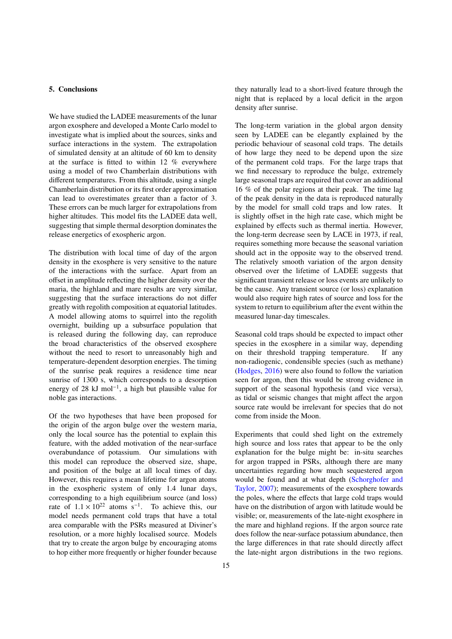# 5. Conclusions

We have studied the LADEE measurements of the lunar argon exosphere and developed a Monte Carlo model to investigate what is implied about the sources, sinks and surface interactions in the system. The extrapolation of simulated density at an altitude of 60 km to density at the surface is fitted to within 12 % everywhere using a model of two Chamberlain distributions with different temperatures. From this altitude, using a single Chamberlain distribution or its first order approximation can lead to overestimates greater than a factor of 3. These errors can be much larger for extrapolations from higher altitudes. This model fits the LADEE data well, suggesting that simple thermal desorption dominates the release energetics of exospheric argon.

The distribution with local time of day of the argon density in the exosphere is very sensitive to the nature of the interactions with the surface. Apart from an offset in amplitude reflecting the higher density over the maria, the highland and mare results are very similar, suggesting that the surface interactions do not differ greatly with regolith composition at equatorial latitudes. A model allowing atoms to squirrel into the regolith overnight, building up a subsurface population that is released during the following day, can reproduce the broad characteristics of the observed exosphere without the need to resort to unreasonably high and temperature-dependent desorption energies. The timing of the sunrise peak requires a residence time near sunrise of 1300 s, which corresponds to a desorption energy of 28 kJ mol<sup>−</sup><sup>1</sup> , a high but plausible value for noble gas interactions.

Of the two hypotheses that have been proposed for the origin of the argon bulge over the western maria, only the local source has the potential to explain this feature, with the added motivation of the near-surface overabundance of potassium. Our simulations with this model can reproduce the observed size, shape, and position of the bulge at all local times of day. However, this requires a mean lifetime for argon atoms in the exospheric system of only 1.4 lunar days, corresponding to a high equilibrium source (and loss) rate of  $1.1 \times 10^{22}$  atoms s<sup>-1</sup>. To achieve this, our model needs permanent cold trans that have a total model needs permanent cold traps that have a total area comparable with the PSRs measured at Diviner's resolution, or a more highly localised source. Models that try to create the argon bulge by encouraging atoms to hop either more frequently or higher founder because they naturally lead to a short-lived feature through the night that is replaced by a local deficit in the argon density after sunrise.

The long-term variation in the global argon density seen by LADEE can be elegantly explained by the periodic behaviour of seasonal cold traps. The details of how large they need to be depend upon the size of the permanent cold traps. For the large traps that we find necessary to reproduce the bulge, extremely large seasonal traps are required that cover an additional 16 % of the polar regions at their peak. The time lag of the peak density in the data is reproduced naturally by the model for small cold traps and low rates. It is slightly offset in the high rate case, which might be explained by effects such as thermal inertia. However, the long-term decrease seen by LACE in 1973, if real, requires something more because the seasonal variation should act in the opposite way to the observed trend. The relatively smooth variation of the argon density observed over the lifetime of LADEE suggests that significant transient release or loss events are unlikely to be the cause. Any transient source (or loss) explanation would also require high rates of source and loss for the system to return to equilibrium after the event within the measured lunar-day timescales.

Seasonal cold traps should be expected to impact other species in the exosphere in a similar way, depending on their threshold trapping temperature. If any non-radiogenic, condensible species (such as methane) [\(Hodges,](#page-15-25) [2016\)](#page-15-25) were also found to follow the variation seen for argon, then this would be strong evidence in support of the seasonal hypothesis (and vice versa), as tidal or seismic changes that might affect the argon source rate would be irrelevant for species that do not come from inside the Moon.

Experiments that could shed light on the extremely high source and loss rates that appear to be the only explanation for the bulge might be: in-situ searches for argon trapped in PSRs, although there are many uncertainties regarding how much sequestered argon would be found and at what depth [\(Schorghofer and](#page-16-14) [Taylor,](#page-16-14) [2007\)](#page-16-14); measurements of the exosphere towards the poles, where the effects that large cold traps would have on the distribution of argon with latitude would be visible; or, measurements of the late-night exosphere in the mare and highland regions. If the argon source rate does follow the near-surface potassium abundance, then the large differences in that rate should directly affect the late-night argon distributions in the two regions.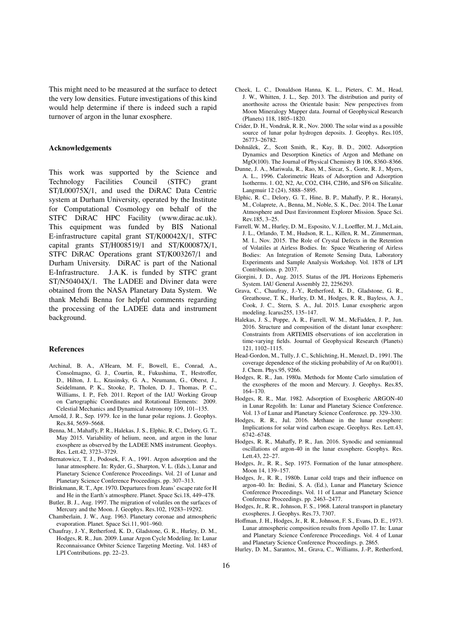This might need to be measured at the surface to detect the very low densities. Future investigations of this kind would help determine if there is indeed such a rapid turnover of argon in the lunar exosphere.

# Acknowledgements

This work was supported by the Science and Technology Facilities Council (STFC) grant ST/L00075X/1, and used the DiRAC Data Centric system at Durham University, operated by the Institute for Computational Cosmology on behalf of the STFC DiRAC HPC Facility (www.dirac.ac.uk). This equipment was funded by BIS National E-infrastructure capital grant ST/K00042X/1, STFC capital grants ST/H008519/1 and ST/K00087X/1, STFC DiRAC Operations grant ST/K003267/1 and Durham University. DiRAC is part of the National E-Infrastructure. J.A.K. is funded by STFC grant ST/N50404X/1. The LADEE and Diviner data were obtained from the NASA Planetary Data System. We thank Mehdi Benna for helpful comments regarding the processing of the LADEE data and instrument background.

#### References

- <span id="page-15-11"></span>Archinal, B. A., A'Hearn, M. F., Bowell, E., Conrad, A., Consolmagno, G. J., Courtin, R., Fukushima, T., Hestroffer, D., Hilton, J. L., Krasinsky, G. A., Neumann, G., Oberst, J., Seidelmann, P. K., Stooke, P., Tholen, D. J., Thomas, P. C., Williams, I. P., Feb. 2011. Report of the IAU Working Group on Cartographic Coordinates and Rotational Elements: 2009. Celestial Mechanics and Dynamical Astronomy 109, 101–135.
- <span id="page-15-24"></span>Arnold, J. R., Sep. 1979. Ice in the lunar polar regions. J. Geophys. Res.84, 5659–5668.
- <span id="page-15-4"></span>Benna, M., Mahaffy, P. R., Halekas, J. S., Elphic, R. C., Delory, G. T., May 2015. Variability of helium, neon, and argon in the lunar exosphere as observed by the LADEE NMS instrument. Geophys. Res. Lett.42, 3723–3729.
- <span id="page-15-16"></span>Bernatowicz, T. J., Podosek, F. A., 1991. Argon adsorption and the lunar atmosphere. In: Ryder, G., Sharpton, V. L. (Eds.), Lunar and Planetary Science Conference Proceedings. Vol. 21 of Lunar and Planetary Science Conference Proceedings. pp. 307–313.
- <span id="page-15-14"></span>Brinkmann, R. T., Apr. 1970. Departures from Jeans' escape rate for H and He in the Earth's atmosphere. Planet. Space Sci.18, 449–478.
- <span id="page-15-8"></span>Butler, B. J., Aug. 1997. The migration of volatiles on the surfaces of Mercury and the Moon. J. Geophys. Res.102, 19283–19292.
- <span id="page-15-9"></span>Chamberlain, J. W., Aug. 1963. Planetary coronae and atmospheric evaporation. Planet. Space Sci.11, 901–960.
- <span id="page-15-12"></span>Chaufray, J.-Y., Retherford, K. D., Gladstone, G. R., Hurley, D. M., Hodges, R. R., Jun. 2009. Lunar Argon Cycle Modeling. In: Lunar Reconnaissance Orbiter Science Targeting Meeting. Vol. 1483 of LPI Contributions. pp. 22–23.
- <span id="page-15-17"></span>Cheek, L. C., Donaldson Hanna, K. L., Pieters, C. M., Head, J. W., Whitten, J. L., Sep. 2013. The distribution and purity of anorthosite across the Orientale basin: New perspectives from Moon Mineralogy Mapper data. Journal of Geophysical Research (Planets) 118, 1805–1820.
- <span id="page-15-13"></span>Crider, D. H., Vondrak, R. R., Nov. 2000. The solar wind as a possible source of lunar polar hydrogen deposits. J. Geophys. Res.105, 26773–26782.
- <span id="page-15-18"></span>Dohnalek, Z., Scott Smith, R., Kay, B. D., 2002. Adsorption ´ Dynamics and Desorption Kinetics of Argon and Methane on MgO(100). The Journal of Physical Chemistry B 106, 8360–8366.
- <span id="page-15-19"></span>Dunne, J. A., Mariwala, R., Rao, M., Sircar, S., Gorte, R. J., Myers, A. L., 1996. Calorimetric Heats of Adsorption and Adsorption Isotherms. 1. O2, N2, Ar, CO2, CH4, C2H6, and SF6 on Silicalite. Langmuir 12 (24), 5888–5895.
- <span id="page-15-3"></span>Elphic, R. C., Delory, G. T., Hine, B. P., Mahaffy, P. R., Horanyi, M., Colaprete, A., Benna, M., Noble, S. K., Dec. 2014. The Lunar Atmosphere and Dust Environment Explorer Mission. Space Sci. Rev.185, 3–25.
- <span id="page-15-20"></span>Farrell, W. M., Hurley, D. M., Esposito, V. J., Loeffler, M. J., McLain, J. L., Orlando, T. M., Hudson, R. L., Killen, R. M., Zimmerman, M. I., Nov. 2015. The Role of Crystal Defects in the Retention of Volatiles at Airless Bodies. In: Space Weathering of Airless Bodies: An Integration of Remote Sensing Data, Laboratory Experiments and Sample Analysis Workshop. Vol. 1878 of LPI Contributions. p. 2037.
- <span id="page-15-26"></span>Giorgini, J. D., Aug. 2015. Status of the JPL Horizons Ephemeris System. IAU General Assembly 22, 2256293.
- <span id="page-15-6"></span>Grava, C., Chaufray, J.-Y., Retherford, K. D., Gladstone, G. R., Greathouse, T. K., Hurley, D. M., Hodges, R. R., Bayless, A. J., Cook, J. C., Stern, S. A., Jul. 2015. Lunar exospheric argon modeling. Icarus255, 135–147.
- <span id="page-15-10"></span>Halekas, J. S., Poppe, A. R., Farrell, W. M., McFadden, J. P., Jun. 2016. Structure and composition of the distant lunar exosphere: Constraints from ARTEMIS observations of ion acceleration in time-varying fields. Journal of Geophysical Research (Planets) 121, 1102–1115.
- <span id="page-15-22"></span>Head-Gordon, M., Tully, J. C., Schlichting, H., Menzel, D., 1991. The coverage dependence of the sticking probability of Ar on Ru(001). J. Chem. Phys.95, 9266.
- <span id="page-15-7"></span>Hodges, R. R., Jan. 1980a. Methods for Monte Carlo simulation of the exospheres of the moon and Mercury. J. Geophys. Res.85, 164–170.
- <span id="page-15-21"></span>Hodges, R. R., Mar. 1982. Adsorption of Exospheric ARGON-40 in Lunar Regolith. In: Lunar and Planetary Science Conference. Vol. 13 of Lunar and Planetary Science Conference. pp. 329–330.
- <span id="page-15-25"></span>Hodges, R. R., Jul. 2016. Methane in the lunar exosphere: Implications for solar wind carbon escape. Geophys. Res. Lett.43, 6742–6748.
- <span id="page-15-5"></span>Hodges, R. R., Mahaffy, P. R., Jan. 2016. Synodic and semiannual oscillations of argon-40 in the lunar exosphere. Geophys. Res. Lett.43, 22–27.
- <span id="page-15-2"></span>Hodges, Jr., R. R., Sep. 1975. Formation of the lunar atmosphere. Moon 14, 139–157.
- <span id="page-15-23"></span>Hodges, Jr., R. R., 1980b. Lunar cold traps and their influence on argon-40. In: Bedini, S. A. (Ed.), Lunar and Planetary Science Conference Proceedings. Vol. 11 of Lunar and Planetary Science Conference Proceedings. pp. 2463–2477.
- <span id="page-15-1"></span>Hodges, Jr., R. R., Johnson, F. S., 1968. Lateral transport in planetary exospheres. J. Geophys. Res.73, 7307.
- <span id="page-15-0"></span>Hoffman, J. H., Hodges, Jr., R. R., Johnson, F. S., Evans, D. E., 1973. Lunar atmospheric composition results from Apollo 17. In: Lunar and Planetary Science Conference Proceedings. Vol. 4 of Lunar and Planetary Science Conference Proceedings. p. 2865.
- <span id="page-15-15"></span>Hurley, D. M., Sarantos, M., Grava, C., Williams, J.-P., Retherford,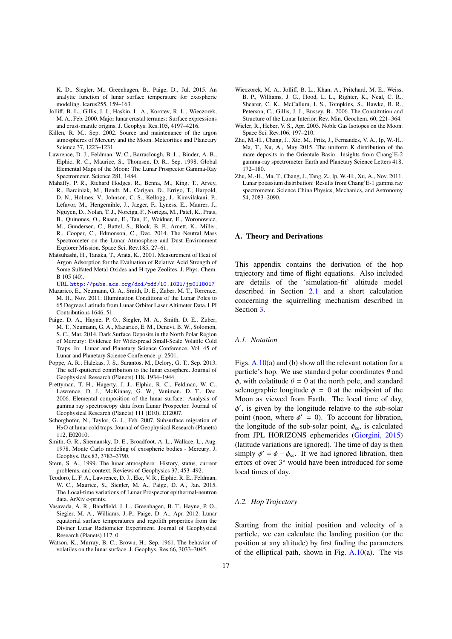K. D., Siegler, M., Greenhagen, B., Paige, D., Jul. 2015. An analytic function of lunar surface temperature for exospheric modeling. Icarus255, 159–163.

- <span id="page-16-7"></span>Jolliff, B. L., Gillis, J. J., Haskin, L. A., Korotev, R. L., Wieczorek, M. A., Feb. 2000. Major lunar crustal terranes: Surface expressions and crust-mantle origins. J. Geophys. Res.105, 4197–4216.
- <span id="page-16-9"></span>Killen, R. M., Sep. 2002. Source and maintenance of the argon atmospheres of Mercury and the Moon. Meteoritics and Planetary Science 37, 1223–1231.
- <span id="page-16-5"></span>Lawrence, D. J., Feldman, W. C., Barraclough, B. L., Binder, A. B., Elphic, R. C., Maurice, S., Thomsen, D. R., Sep. 1998. Global Elemental Maps of the Moon: The Lunar Prospector Gamma-Ray Spectrometer. Science 281, 1484.
- <span id="page-16-3"></span>Mahaffy, P. R., Richard Hodges, R., Benna, M., King, T., Arvey, R., Barciniak, M., Bendt, M., Carigan, D., Errigo, T., Harpold, D. N., Holmes, V., Johnson, C. S., Kellogg, J., Kimvilakani, P., Lefavor, M., Hengemihle, J., Jaeger, F., Lyness, E., Maurer, J., Nguyen, D., Nolan, T. J., Noreiga, F., Noriega, M., Patel, K., Prats, B., Quinones, O., Raaen, E., Tan, F., Weidner, E., Woronowicz, M., Gundersen, C., Battel, S., Block, B. P., Arnett, K., Miller, R., Cooper, C., Edmonson, C., Dec. 2014. The Neutral Mass Spectrometer on the Lunar Atmosphere and Dust Environment Explorer Mission. Space Sci. Rev.185, 27–61.
- <span id="page-16-17"></span>Matsuhashi, H., Tanaka, T., Arata, K., 2001. Measurement of Heat of Argon Adsorption for the Evaluation of Relative Acid Strength of Some Sulfated Metal Oxides and H-type Zeolites. J. Phys. Chem. B 105 (40).
- URL <http://pubs.acs.org/doi/pdf/10.1021/jp0118017>
- <span id="page-16-4"></span>Mazarico, E., Neumann, G. A., Smith, D. E., Zuber, M. T., Torrence, M. H., Nov. 2011. Illumination Conditions of the Lunar Poles to 65 Degrees Latitude from Lunar Orbiter Laser Altimeter Data. LPI Contributions 1646, 51.
- <span id="page-16-19"></span>Paige, D. A., Hayne, P. O., Siegler, M. A., Smith, D. E., Zuber, M. T., Neumann, G. A., Mazarico, E. M., Denevi, B. W., Solomon, S. C., Mar. 2014. Dark Surface Deposits in the North Polar Region of Mercury: Evidence for Widespread Small-Scale Volatile Cold Traps. In: Lunar and Planetary Science Conference. Vol. 45 of Lunar and Planetary Science Conference. p. 2501.
- <span id="page-16-13"></span>Poppe, A. R., Halekas, J. S., Sarantos, M., Delory, G. T., Sep. 2013. The self-sputtered contribution to the lunar exosphere. Journal of Geophysical Research (Planets) 118, 1934–1944.
- <span id="page-16-10"></span>Prettyman, T. H., Hagerty, J. J., Elphic, R. C., Feldman, W. C., Lawrence, D. J., McKinney, G. W., Vaniman, D. T., Dec. 2006. Elemental composition of the lunar surface: Analysis of gamma ray spectroscopy data from Lunar Prospector. Journal of Geophysical Research (Planets) 111 (E10), E12007.
- <span id="page-16-14"></span>Schorghofer, N., Taylor, G. J., Feb. 2007. Subsurface migration of H2O at lunar cold traps. Journal of Geophysical Research (Planets) 112, E02010.
- <span id="page-16-6"></span>Smith, G. R., Shemansky, D. E., Broadfoot, A. L., Wallace, L., Aug. 1978. Monte Carlo modeling of exospheric bodies - Mercury. J. Geophys. Res.83, 3783–3790.
- <span id="page-16-0"></span>Stern, S. A., 1999. The lunar atmosphere: History, status, current problems, and context. Reviews of Geophysics 37, 453–492.
- <span id="page-16-20"></span>Teodoro, L. F. A., Lawrence, D. J., Eke, V. R., Elphic, R. E., Feldman, W. C., Maurice, S., Siegler, M. A., Paige, D. A., Jan. 2015. The Local-time variations of Lunar Prospector epithermal-neutron data. ArXiv e-prints.
- <span id="page-16-15"></span>Vasavada, A. R., Bandfield, J. L., Greenhagen, B. T., Hayne, P. O., Siegler, M. A., Williams, J.-P., Paige, D. A., Apr. 2012. Lunar equatorial surface temperatures and regolith properties from the Diviner Lunar Radiometer Experiment. Journal of Geophysical Research (Planets) 117, 0.
- <span id="page-16-1"></span>Watson, K., Murray, B. C., Brown, H., Sep. 1961. The behavior of volatiles on the lunar surface. J. Geophys. Res.66, 3033–3045.
- <span id="page-16-18"></span>Wieczorek, M. A., Jolliff, B. L., Khan, A., Pritchard, M. E., Weiss, B. P., Williams, J. G., Hood, L. L., Righter, K., Neal, C. R., Shearer, C. K., McCallum, I. S., Tompkins, S., Hawke, B. R., Peterson, C., Gillis, J. J., Bussey, B., 2006. The Constitution and Structure of the Lunar Interior. Rev. Min. Geochem. 60, 221–364.
- <span id="page-16-2"></span>Wieler, R., Heber, V. S., Apr. 2003. Noble Gas Isotopes on the Moon. Space Sci. Rev.106, 197–210.
- <span id="page-16-12"></span>Zhu, M.-H., Chang, J., Xie, M., Fritz, J., Fernandes, V. A., Ip, W.-H., Ma, T., Xu, A., May 2015. The uniform K distribution of the mare deposits in the Orientale Basin: Insights from Chang'E-2 gamma-ray spectrometer. Earth and Planetary Science Letters 418, 172–180.
- <span id="page-16-11"></span>Zhu, M.-H., Ma, T., Chang, J., Tang, Z., Ip, W.-H., Xu, A., Nov. 2011. Lunar potassium distribution: Results from Chang'E-1 gamma ray spectrometer. Science China Physics, Mechanics, and Astronomy 54, 2083–2090.

#### <span id="page-16-8"></span>A. Theory and Derivations

This appendix contains the derivation of the hop trajectory and time of flight equations. Also included are details of the 'simulation-fit' altitude model described in Section [2.1](#page-2-2) and a short calculation concerning the squirrelling mechanism described in Section [3.](#page-5-0)

#### *A.1. Notation*

Figs.  $A.10(a)$  $A.10(a)$  and (b) show all the relevant notation for a particle's hop. We use standard polar coordinates  $\theta$  and  $\phi$ , with colatitude  $\theta = 0$  at the north pole, and standard selenographic longitude  $\phi = 0$  at the midpoint of the Moon as viewed from Earth. The local time of day, point (noon, where  $\phi' = 0$ ). To account for libration,<br>the longitude of the sub-solar point  $\phi$  is calculated ', is given by the longitude relative to the sub-solar the longitude of the sub-solar point,  $\phi_{ss}$ , is calculated from JPL HORIZONS ephemerides [\(Giorgini,](#page-15-26) [2015\)](#page-15-26) (latitude variations are ignored). The time of day is then simply  $\phi' = \phi - \phi_{ss}$ . If we had ignored libration, then<br>errors of over 3° would have been introduced for some errors of over 3◦ would have been introduced for some local times of day.

#### <span id="page-16-16"></span>*A.2. Hop Trajectory*

Starting from the initial position and velocity of a particle, we can calculate the landing position (or the position at any altitude) by first finding the parameters of the elliptical path, shown in Fig.  $A.10(a)$  $A.10(a)$ . The vis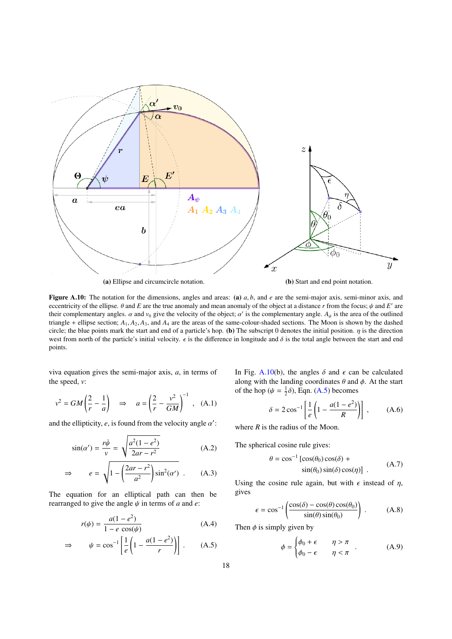<span id="page-17-0"></span>

**Figure A.10:** The notation for the dimensions, angles and areas: (a)  $a, b$ , and  $e$  are the semi-major axis, semi-minor axis, and eccentricity of the ellipse.  $\theta$  and *E* are the true anomaly and mean anomaly of the object at a distance *r* from the focus;  $\psi$  and *E'* are the incomplementary angle  $\alpha$  is the area of the outlined their complementary angles.  $\alpha$  and  $\nu_0$  give the velocity of the object;  $\alpha'$  is the complementary angle.  $A_{\psi}$  is the area of the outlined<br>triangle + ellinge section:  $A_{\psi}$ ,  $A_{\psi}$  and  $A_{\psi}$  are the areas of triangle + ellipse section;  $A_1$ ,  $A_2$ ,  $A_3$ , and  $A_4$  are the areas of the same-colour-shaded sections. The Moon is shown by the dashed circle; the blue points mark the start and end of a particle's hop. (b) The subscript 0 denotes the initial position.  $\eta$  is the direction west from north of the particle's initial velocity.  $\epsilon$  is the difference in longitude and  $\delta$  is the total angle between the start and end points.

viva equation gives the semi-major axis, *a*, in terms of the speed, *v*:

$$
v^2 = GM\left(\frac{2}{r} - \frac{1}{a}\right) \quad \Rightarrow \quad a = \left(\frac{2}{r} - \frac{v^2}{GM}\right)^{-1}, \quad \text{(A.1)}
$$

and the ellipticity,  $e$ , is found from the velocity angle  $\alpha'$ :

$$
\sin(\alpha') = \frac{r\dot{\psi}}{v} = \sqrt{\frac{a^2(1 - e^2)}{2ar - r^2}}
$$
 (A.2)

$$
\Rightarrow \qquad e = \sqrt{1 - \left(\frac{2ar - r^2}{a^2}\right) \sin^2(\alpha')} \quad . \tag{A.3}
$$

The equation for an elliptical path can then be rearranged to give the angle  $\psi$  in terms of *a* and *e*:

$$
r(\psi) = \frac{a(1 - e^2)}{1 - e \cos(\psi)}
$$
 (A.4)

$$
\Rightarrow \qquad \psi = \cos^{-1}\left[\frac{1}{e}\left(1 - \frac{a(1 - e^2)}{r}\right)\right]. \tag{A.5}
$$

In Fig. [A.10\(](#page-17-0)b), the angles  $\delta$  and  $\epsilon$  can be calculated along with the landing coordinates  $\theta$  and  $\phi$ . At the start of the hop ( $\psi = \frac{1}{2}\delta$ ), Eqn. [\(A.5\)](#page-17-1) becomes

$$
\delta = 2\cos^{-1}\left[\frac{1}{e}\left(1 - \frac{a(1 - e^2)}{R}\right)\right],\tag{A.6}
$$

where *R* is the radius of the Moon.

The spherical cosine rule gives:

$$
\theta = \cos^{-1} \left[ \cos(\theta_0) \cos(\delta) + \sin(\theta_0) \sin(\delta) \cos(\eta) \right] .
$$
 (A.7)

Using the cosine rule again, but with  $\epsilon$  instead of  $\eta$ , gives

$$
\epsilon = \cos^{-1}\left(\frac{\cos(\delta) - \cos(\theta)\cos(\theta_0)}{\sin(\theta)\sin(\theta_0)}\right). \tag{A.8}
$$

<span id="page-17-1"></span>Then  $\phi$  is simply given by

$$
\phi = \begin{cases} \phi_0 + \epsilon & \eta > \pi \\ \phi_0 - \epsilon & \eta < \pi \end{cases}
$$
 (A.9)